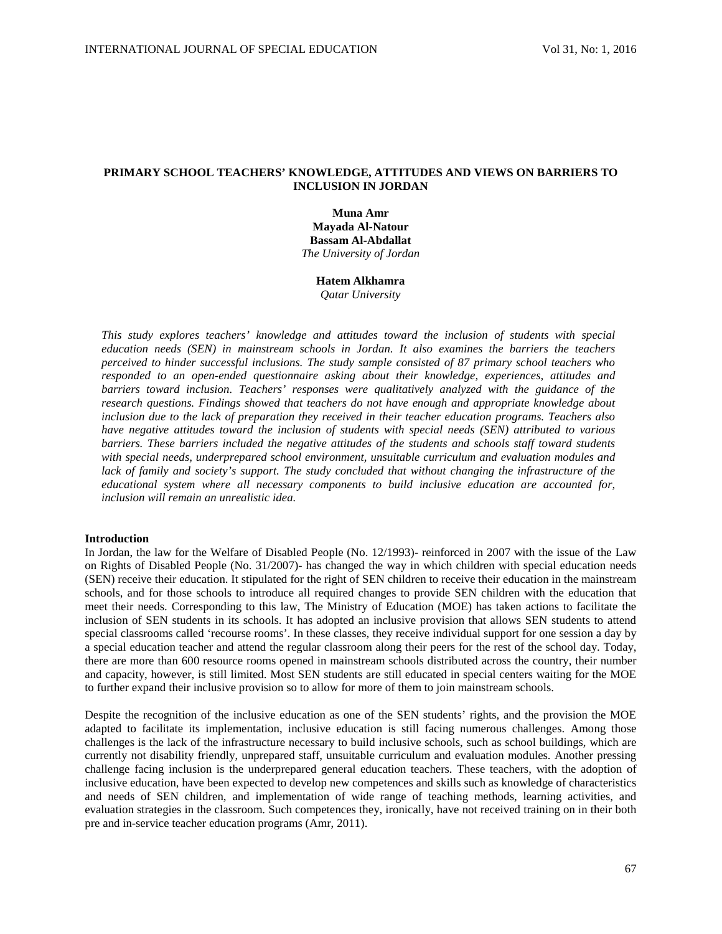# **PRIMARY SCHOOL TEACHERS' KNOWLEDGE, ATTITUDES AND VIEWS ON BARRIERS TO INCLUSION IN JORDAN**

**Muna Amr Mayada Al-Natour Bassam Al-Abdallat** *The University of Jordan*

## **Hatem Alkhamra**

*Qatar University*

*This study explores teachers' knowledge and attitudes toward the inclusion of students with special education needs (SEN) in mainstream schools in Jordan. It also examines the barriers the teachers perceived to hinder successful inclusions. The study sample consisted of 87 primary school teachers who responded to an open-ended questionnaire asking about their knowledge, experiences, attitudes and barriers toward inclusion. Teachers' responses were qualitatively analyzed with the guidance of the research questions. Findings showed that teachers do not have enough and appropriate knowledge about inclusion due to the lack of preparation they received in their teacher education programs. Teachers also have negative attitudes toward the inclusion of students with special needs (SEN) attributed to various barriers. These barriers included the negative attitudes of the students and schools staff toward students with special needs, underprepared school environment, unsuitable curriculum and evaluation modules and lack of family and society's support. The study concluded that without changing the infrastructure of the educational system where all necessary components to build inclusive education are accounted for, inclusion will remain an unrealistic idea.* 

#### **Introduction**

In Jordan, the law for the Welfare of Disabled People (No. 12/1993)- reinforced in 2007 with the issue of the Law on Rights of Disabled People (No. 31/2007)- has changed the way in which children with special education needs (SEN) receive their education. It stipulated for the right of SEN children to receive their education in the mainstream schools, and for those schools to introduce all required changes to provide SEN children with the education that meet their needs. Corresponding to this law, The Ministry of Education (MOE) has taken actions to facilitate the inclusion of SEN students in its schools. It has adopted an inclusive provision that allows SEN students to attend special classrooms called 'recourse rooms'. In these classes, they receive individual support for one session a day by a special education teacher and attend the regular classroom along their peers for the rest of the school day. Today, there are more than 600 resource rooms opened in mainstream schools distributed across the country, their number and capacity, however, is still limited. Most SEN students are still educated in special centers waiting for the MOE to further expand their inclusive provision so to allow for more of them to join mainstream schools.

Despite the recognition of the inclusive education as one of the SEN students' rights, and the provision the MOE adapted to facilitate its implementation, inclusive education is still facing numerous challenges. Among those challenges is the lack of the infrastructure necessary to build inclusive schools, such as school buildings, which are currently not disability friendly, unprepared staff, unsuitable curriculum and evaluation modules. Another pressing challenge facing inclusion is the underprepared general education teachers. These teachers, with the adoption of inclusive education, have been expected to develop new competences and skills such as knowledge of characteristics and needs of SEN children, and implementation of wide range of teaching methods, learning activities, and evaluation strategies in the classroom. Such competences they, ironically, have not received training on in their both pre and in-service teacher education programs (Amr, 2011).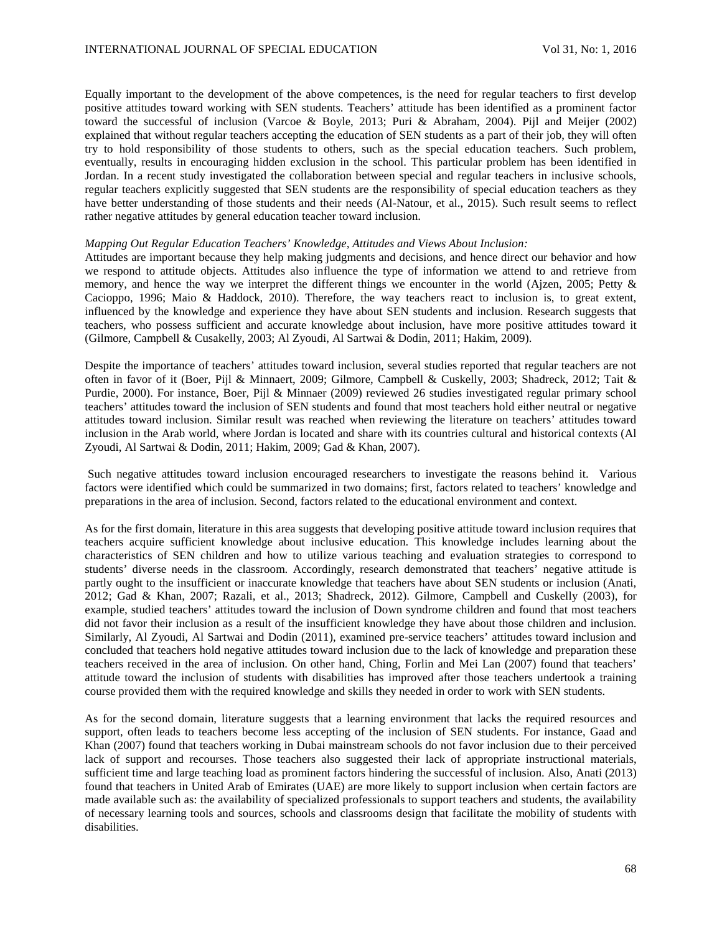Equally important to the development of the above competences, is the need for regular teachers to first develop positive attitudes toward working with SEN students. Teachers' attitude has been identified as a prominent factor toward the successful of inclusion (Varcoe & Boyle, 2013; Puri & Abraham, 2004). Pijl and Meijer (2002) explained that without regular teachers accepting the education of SEN students as a part of their job, they will often try to hold responsibility of those students to others, such as the special education teachers. Such problem, eventually, results in encouraging hidden exclusion in the school. This particular problem has been identified in Jordan. In a recent study investigated the collaboration between special and regular teachers in inclusive schools, regular teachers explicitly suggested that SEN students are the responsibility of special education teachers as they have better understanding of those students and their needs (Al-Natour, et al., 2015). Such result seems to reflect rather negative attitudes by general education teacher toward inclusion.

## *Mapping Out Regular Education Teachers' Knowledge, Attitudes and Views About Inclusion:*

Attitudes are important because they help making judgments and decisions, and hence direct our behavior and how we respond to attitude objects. Attitudes also influence the type of information we attend to and retrieve from memory, and hence the way we interpret the different things we encounter in the world (Ajzen, 2005; Petty & Cacioppo, 1996; Maio & Haddock, 2010). Therefore, the way teachers react to inclusion is, to great extent, influenced by the knowledge and experience they have about SEN students and inclusion. Research suggests that teachers, who possess sufficient and accurate knowledge about inclusion, have more positive attitudes toward it (Gilmore, Campbell & Cusakelly, 2003; Al Zyoudi, Al Sartwai & Dodin, 2011; Hakim, 2009).

Despite the importance of teachers' attitudes toward inclusion, several studies reported that regular teachers are not often in favor of it (Boer, Pijl & Minnaert, 2009; Gilmore, Campbell & Cuskelly, 2003; Shadreck, 2012; Tait & Purdie, 2000). For instance, Boer, Pijl & Minnaer (2009) reviewed 26 studies investigated regular primary school teachers' attitudes toward the inclusion of SEN students and found that most teachers hold either neutral or negative attitudes toward inclusion. Similar result was reached when reviewing the literature on teachers' attitudes toward inclusion in the Arab world, where Jordan is located and share with its countries cultural and historical contexts (Al Zyoudi, Al Sartwai & Dodin, 2011; Hakim, 2009; Gad & Khan, 2007).

Such negative attitudes toward inclusion encouraged researchers to investigate the reasons behind it. Various factors were identified which could be summarized in two domains; first, factors related to teachers' knowledge and preparations in the area of inclusion. Second, factors related to the educational environment and context.

As for the first domain, literature in this area suggests that developing positive attitude toward inclusion requires that teachers acquire sufficient knowledge about inclusive education. This knowledge includes learning about the characteristics of SEN children and how to utilize various teaching and evaluation strategies to correspond to students' diverse needs in the classroom. Accordingly, research demonstrated that teachers' negative attitude is partly ought to the insufficient or inaccurate knowledge that teachers have about SEN students or inclusion (Anati, 2012; Gad & Khan, 2007; Razali, et al., 2013; Shadreck, 2012). Gilmore, Campbell and Cuskelly (2003), for example, studied teachers' attitudes toward the inclusion of Down syndrome children and found that most teachers did not favor their inclusion as a result of the insufficient knowledge they have about those children and inclusion. Similarly, Al Zyoudi, Al Sartwai and Dodin (2011), examined pre-service teachers' attitudes toward inclusion and concluded that teachers hold negative attitudes toward inclusion due to the lack of knowledge and preparation these teachers received in the area of inclusion. On other hand, Ching, Forlin and Mei Lan (2007) found that teachers' attitude toward the inclusion of students with disabilities has improved after those teachers undertook a training course provided them with the required knowledge and skills they needed in order to work with SEN students.

As for the second domain, literature suggests that a learning environment that lacks the required resources and support, often leads to teachers become less accepting of the inclusion of SEN students. For instance, Gaad and Khan (2007) found that teachers working in Dubai mainstream schools do not favor inclusion due to their perceived lack of support and recourses. Those teachers also suggested their lack of appropriate instructional materials, sufficient time and large teaching load as prominent factors hindering the successful of inclusion. Also, Anati (2013) found that teachers in United Arab of Emirates (UAE) are more likely to support inclusion when certain factors are made available such as: the availability of specialized professionals to support teachers and students, the availability of necessary learning tools and sources, schools and classrooms design that facilitate the mobility of students with disabilities.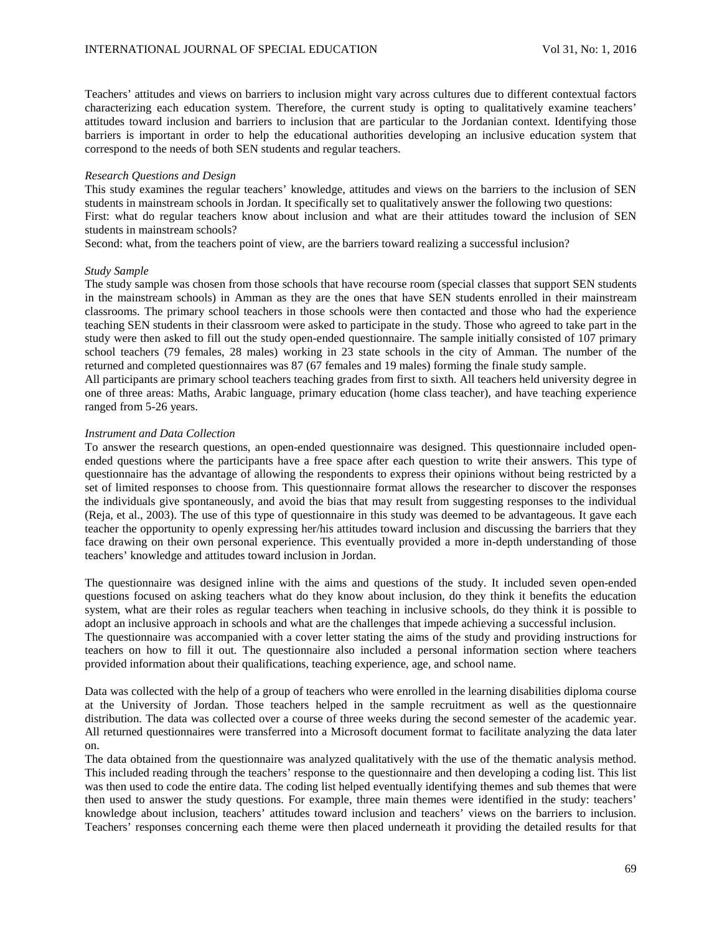Teachers' attitudes and views on barriers to inclusion might vary across cultures due to different contextual factors characterizing each education system. Therefore, the current study is opting to qualitatively examine teachers' attitudes toward inclusion and barriers to inclusion that are particular to the Jordanian context. Identifying those barriers is important in order to help the educational authorities developing an inclusive education system that correspond to the needs of both SEN students and regular teachers.

# *Research Questions and Design*

This study examines the regular teachers' knowledge, attitudes and views on the barriers to the inclusion of SEN students in mainstream schools in Jordan. It specifically set to qualitatively answer the following two questions: First: what do regular teachers know about inclusion and what are their attitudes toward the inclusion of SEN students in mainstream schools?

Second: what, from the teachers point of view, are the barriers toward realizing a successful inclusion?

### *Study Sample*

The study sample was chosen from those schools that have recourse room (special classes that support SEN students in the mainstream schools) in Amman as they are the ones that have SEN students enrolled in their mainstream classrooms. The primary school teachers in those schools were then contacted and those who had the experience teaching SEN students in their classroom were asked to participate in the study. Those who agreed to take part in the study were then asked to fill out the study open-ended questionnaire. The sample initially consisted of 107 primary school teachers (79 females, 28 males) working in 23 state schools in the city of Amman. The number of the returned and completed questionnaires was 87 (67 females and 19 males) forming the finale study sample.

All participants are primary school teachers teaching grades from first to sixth. All teachers held university degree in one of three areas: Maths, Arabic language, primary education (home class teacher), and have teaching experience ranged from 5-26 years.

# *Instrument and Data Collection*

To answer the research questions, an open-ended questionnaire was designed. This questionnaire included openended questions where the participants have a free space after each question to write their answers. This type of questionnaire has the advantage of allowing the respondents to express their opinions without being restricted by a set of limited responses to choose from. This questionnaire format allows the researcher to discover the responses the individuals give spontaneously, and avoid the bias that may result from suggesting responses to the individual (Reja, et al., 2003). The use of this type of questionnaire in this study was deemed to be advantageous. It gave each teacher the opportunity to openly expressing her/his attitudes toward inclusion and discussing the barriers that they face drawing on their own personal experience. This eventually provided a more in-depth understanding of those teachers' knowledge and attitudes toward inclusion in Jordan.

The questionnaire was designed inline with the aims and questions of the study. It included seven open-ended questions focused on asking teachers what do they know about inclusion, do they think it benefits the education system, what are their roles as regular teachers when teaching in inclusive schools, do they think it is possible to adopt an inclusive approach in schools and what are the challenges that impede achieving a successful inclusion. The questionnaire was accompanied with a cover letter stating the aims of the study and providing instructions for

teachers on how to fill it out. The questionnaire also included a personal information section where teachers provided information about their qualifications, teaching experience, age, and school name.

Data was collected with the help of a group of teachers who were enrolled in the learning disabilities diploma course at the University of Jordan. Those teachers helped in the sample recruitment as well as the questionnaire distribution. The data was collected over a course of three weeks during the second semester of the academic year. All returned questionnaires were transferred into a Microsoft document format to facilitate analyzing the data later on.

The data obtained from the questionnaire was analyzed qualitatively with the use of the thematic analysis method. This included reading through the teachers' response to the questionnaire and then developing a coding list. This list was then used to code the entire data. The coding list helped eventually identifying themes and sub themes that were then used to answer the study questions. For example, three main themes were identified in the study: teachers' knowledge about inclusion, teachers' attitudes toward inclusion and teachers' views on the barriers to inclusion. Teachers' responses concerning each theme were then placed underneath it providing the detailed results for that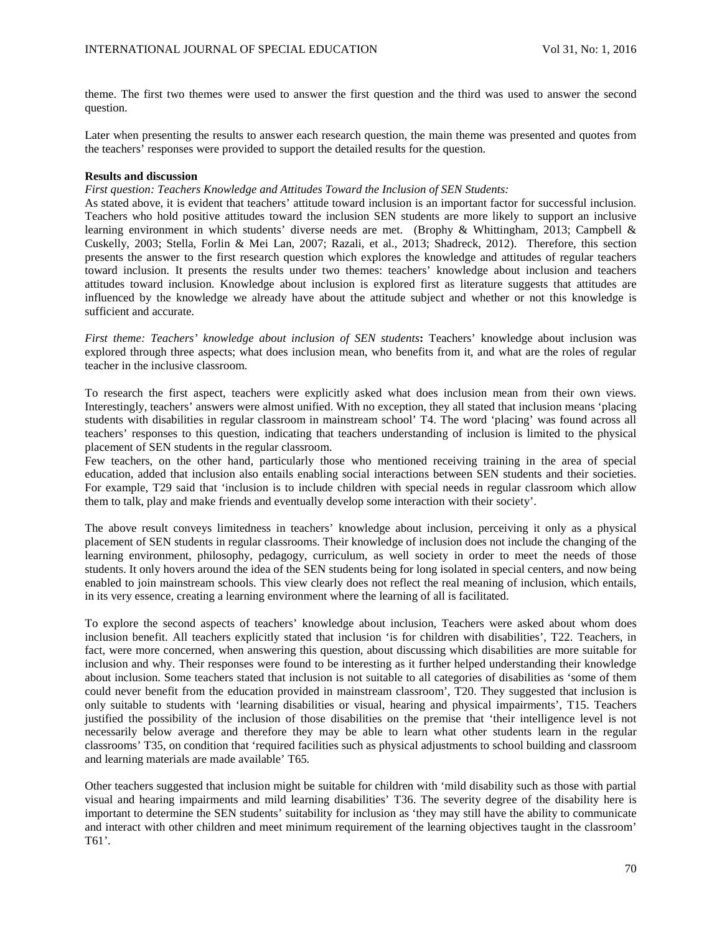theme. The first two themes were used to answer the first question and the third was used to answer the second question.

Later when presenting the results to answer each research question, the main theme was presented and quotes from the teachers' responses were provided to support the detailed results for the question.

## **Results and discussion**

*First question: Teachers Knowledge and Attitudes Toward the Inclusion of SEN Students:*

As stated above, it is evident that teachers' attitude toward inclusion is an important factor for successful inclusion. Teachers who hold positive attitudes toward the inclusion SEN students are more likely to support an inclusive learning environment in which students' diverse needs are met. (Brophy & Whittingham, 2013; Campbell & Cuskelly, 2003; Stella, Forlin & Mei Lan, 2007; Razali, et al., 2013; Shadreck, 2012). Therefore, this section presents the answer to the first research question which explores the knowledge and attitudes of regular teachers toward inclusion. It presents the results under two themes: teachers' knowledge about inclusion and teachers attitudes toward inclusion. Knowledge about inclusion is explored first as literature suggests that attitudes are influenced by the knowledge we already have about the attitude subject and whether or not this knowledge is sufficient and accurate.

*First theme: Teachers' knowledge about inclusion of SEN students***:** Teachers' knowledge about inclusion was explored through three aspects; what does inclusion mean, who benefits from it, and what are the roles of regular teacher in the inclusive classroom.

To research the first aspect, teachers were explicitly asked what does inclusion mean from their own views. Interestingly, teachers' answers were almost unified. With no exception, they all stated that inclusion means 'placing students with disabilities in regular classroom in mainstream school' T4. The word 'placing' was found across all teachers' responses to this question, indicating that teachers understanding of inclusion is limited to the physical placement of SEN students in the regular classroom.

Few teachers, on the other hand, particularly those who mentioned receiving training in the area of special education, added that inclusion also entails enabling social interactions between SEN students and their societies. For example, T29 said that 'inclusion is to include children with special needs in regular classroom which allow them to talk, play and make friends and eventually develop some interaction with their society'.

The above result conveys limitedness in teachers' knowledge about inclusion, perceiving it only as a physical placement of SEN students in regular classrooms. Their knowledge of inclusion does not include the changing of the learning environment, philosophy, pedagogy, curriculum, as well society in order to meet the needs of those students. It only hovers around the idea of the SEN students being for long isolated in special centers, and now being enabled to join mainstream schools. This view clearly does not reflect the real meaning of inclusion, which entails, in its very essence, creating a learning environment where the learning of all is facilitated.

To explore the second aspects of teachers' knowledge about inclusion, Teachers were asked about whom does inclusion benefit. All teachers explicitly stated that inclusion 'is for children with disabilities', T22. Teachers, in fact, were more concerned, when answering this question, about discussing which disabilities are more suitable for inclusion and why. Their responses were found to be interesting as it further helped understanding their knowledge about inclusion. Some teachers stated that inclusion is not suitable to all categories of disabilities as 'some of them could never benefit from the education provided in mainstream classroom', T20. They suggested that inclusion is only suitable to students with 'learning disabilities or visual, hearing and physical impairments', T15. Teachers justified the possibility of the inclusion of those disabilities on the premise that 'their intelligence level is not necessarily below average and therefore they may be able to learn what other students learn in the regular classrooms' T35, on condition that 'required facilities such as physical adjustments to school building and classroom and learning materials are made available' T65*.* 

Other teachers suggested that inclusion might be suitable for children with 'mild disability such as those with partial visual and hearing impairments and mild learning disabilities' T36. The severity degree of the disability here is important to determine the SEN students' suitability for inclusion as 'they may still have the ability to communicate and interact with other children and meet minimum requirement of the learning objectives taught in the classroom' T61'.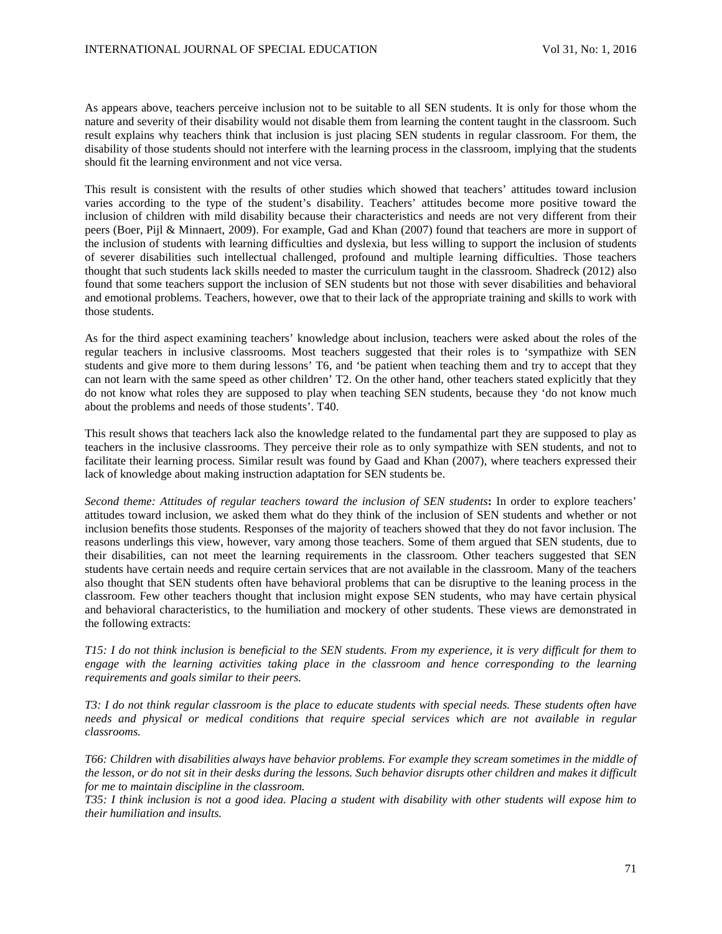As appears above, teachers perceive inclusion not to be suitable to all SEN students. It is only for those whom the nature and severity of their disability would not disable them from learning the content taught in the classroom. Such result explains why teachers think that inclusion is just placing SEN students in regular classroom. For them, the disability of those students should not interfere with the learning process in the classroom, implying that the students should fit the learning environment and not vice versa.

This result is consistent with the results of other studies which showed that teachers' attitudes toward inclusion varies according to the type of the student's disability. Teachers' attitudes become more positive toward the inclusion of children with mild disability because their characteristics and needs are not very different from their peers (Boer, Pijl & Minnaert, 2009). For example, Gad and Khan (2007) found that teachers are more in support of the inclusion of students with learning difficulties and dyslexia, but less willing to support the inclusion of students of severer disabilities such intellectual challenged, profound and multiple learning difficulties. Those teachers thought that such students lack skills needed to master the curriculum taught in the classroom. Shadreck (2012) also found that some teachers support the inclusion of SEN students but not those with sever disabilities and behavioral and emotional problems. Teachers, however, owe that to their lack of the appropriate training and skills to work with those students.

As for the third aspect examining teachers' knowledge about inclusion, teachers were asked about the roles of the regular teachers in inclusive classrooms. Most teachers suggested that their roles is to 'sympathize with SEN students and give more to them during lessons' T6, and 'be patient when teaching them and try to accept that they can not learn with the same speed as other children' T2. On the other hand, other teachers stated explicitly that they do not know what roles they are supposed to play when teaching SEN students, because they 'do not know much about the problems and needs of those students'. T40.

This result shows that teachers lack also the knowledge related to the fundamental part they are supposed to play as teachers in the inclusive classrooms. They perceive their role as to only sympathize with SEN students, and not to facilitate their learning process. Similar result was found by Gaad and Khan (2007), where teachers expressed their lack of knowledge about making instruction adaptation for SEN students be.

*Second theme: Attitudes of regular teachers toward the inclusion of SEN students***:** In order to explore teachers' attitudes toward inclusion, we asked them what do they think of the inclusion of SEN students and whether or not inclusion benefits those students. Responses of the majority of teachers showed that they do not favor inclusion. The reasons underlings this view, however, vary among those teachers. Some of them argued that SEN students, due to their disabilities, can not meet the learning requirements in the classroom. Other teachers suggested that SEN students have certain needs and require certain services that are not available in the classroom. Many of the teachers also thought that SEN students often have behavioral problems that can be disruptive to the leaning process in the classroom. Few other teachers thought that inclusion might expose SEN students, who may have certain physical and behavioral characteristics, to the humiliation and mockery of other students. These views are demonstrated in the following extracts:

*T15: I do not think inclusion is beneficial to the SEN students. From my experience, it is very difficult for them to engage with the learning activities taking place in the classroom and hence corresponding to the learning requirements and goals similar to their peers.* 

*T3: I do not think regular classroom is the place to educate students with special needs. These students often have needs and physical or medical conditions that require special services which are not available in regular classrooms.* 

*T66: Children with disabilities always have behavior problems. For example they scream sometimes in the middle of the lesson, or do not sit in their desks during the lessons. Such behavior disrupts other children and makes it difficult for me to maintain discipline in the classroom.* 

*T35: I think inclusion is not a good idea. Placing a student with disability with other students will expose him to their humiliation and insults.*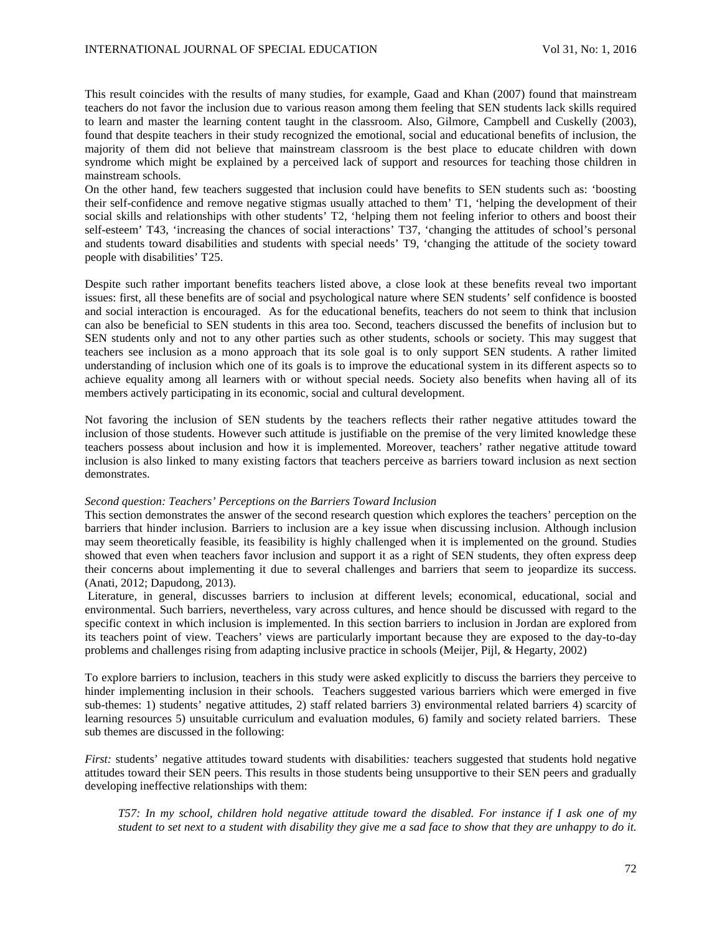This result coincides with the results of many studies, for example, Gaad and Khan (2007) found that mainstream teachers do not favor the inclusion due to various reason among them feeling that SEN students lack skills required to learn and master the learning content taught in the classroom. Also, Gilmore, Campbell and Cuskelly (2003), found that despite teachers in their study recognized the emotional, social and educational benefits of inclusion, the majority of them did not believe that mainstream classroom is the best place to educate children with down syndrome which might be explained by a perceived lack of support and resources for teaching those children in mainstream schools.

On the other hand, few teachers suggested that inclusion could have benefits to SEN students such as: 'boosting their self-confidence and remove negative stigmas usually attached to them' T1, 'helping the development of their social skills and relationships with other students' T2, 'helping them not feeling inferior to others and boost their self-esteem' T43, 'increasing the chances of social interactions' T37, 'changing the attitudes of school's personal and students toward disabilities and students with special needs' T9, 'changing the attitude of the society toward people with disabilities' T25.

Despite such rather important benefits teachers listed above, a close look at these benefits reveal two important issues: first, all these benefits are of social and psychological nature where SEN students' self confidence is boosted and social interaction is encouraged. As for the educational benefits, teachers do not seem to think that inclusion can also be beneficial to SEN students in this area too. Second, teachers discussed the benefits of inclusion but to SEN students only and not to any other parties such as other students, schools or society. This may suggest that teachers see inclusion as a mono approach that its sole goal is to only support SEN students. A rather limited understanding of inclusion which one of its goals is to improve the educational system in its different aspects so to achieve equality among all learners with or without special needs. Society also benefits when having all of its members actively participating in its economic, social and cultural development.

Not favoring the inclusion of SEN students by the teachers reflects their rather negative attitudes toward the inclusion of those students. However such attitude is justifiable on the premise of the very limited knowledge these teachers possess about inclusion and how it is implemented. Moreover, teachers' rather negative attitude toward inclusion is also linked to many existing factors that teachers perceive as barriers toward inclusion as next section demonstrates.

#### *Second question: Teachers' Perceptions on the Barriers Toward Inclusion*

This section demonstrates the answer of the second research question which explores the teachers' perception on the barriers that hinder inclusion. Barriers to inclusion are a key issue when discussing inclusion. Although inclusion may seem theoretically feasible, its feasibility is highly challenged when it is implemented on the ground. Studies showed that even when teachers favor inclusion and support it as a right of SEN students, they often express deep their concerns about implementing it due to several challenges and barriers that seem to jeopardize its success. (Anati, 2012; Dapudong, 2013).

Literature, in general, discusses barriers to inclusion at different levels; economical, educational, social and environmental. Such barriers, nevertheless, vary across cultures, and hence should be discussed with regard to the specific context in which inclusion is implemented. In this section barriers to inclusion in Jordan are explored from its teachers point of view. Teachers' views are particularly important because they are exposed to the day-to-day problems and challenges rising from adapting inclusive practice in schools (Meijer, Pijl, & Hegarty, 2002)

To explore barriers to inclusion, teachers in this study were asked explicitly to discuss the barriers they perceive to hinder implementing inclusion in their schools. Teachers suggested various barriers which were emerged in five sub-themes: 1) students' negative attitudes, 2) staff related barriers 3) environmental related barriers 4) scarcity of learning resources 5) unsuitable curriculum and evaluation modules, 6) family and society related barriers. These sub themes are discussed in the following:

*First:* students' negative attitudes toward students with disabilities*:* teachers suggested that students hold negative attitudes toward their SEN peers. This results in those students being unsupportive to their SEN peers and gradually developing ineffective relationships with them:

*T57: In my school, children hold negative attitude toward the disabled. For instance if I ask one of my student to set next to a student with disability they give me a sad face to show that they are unhappy to do it.*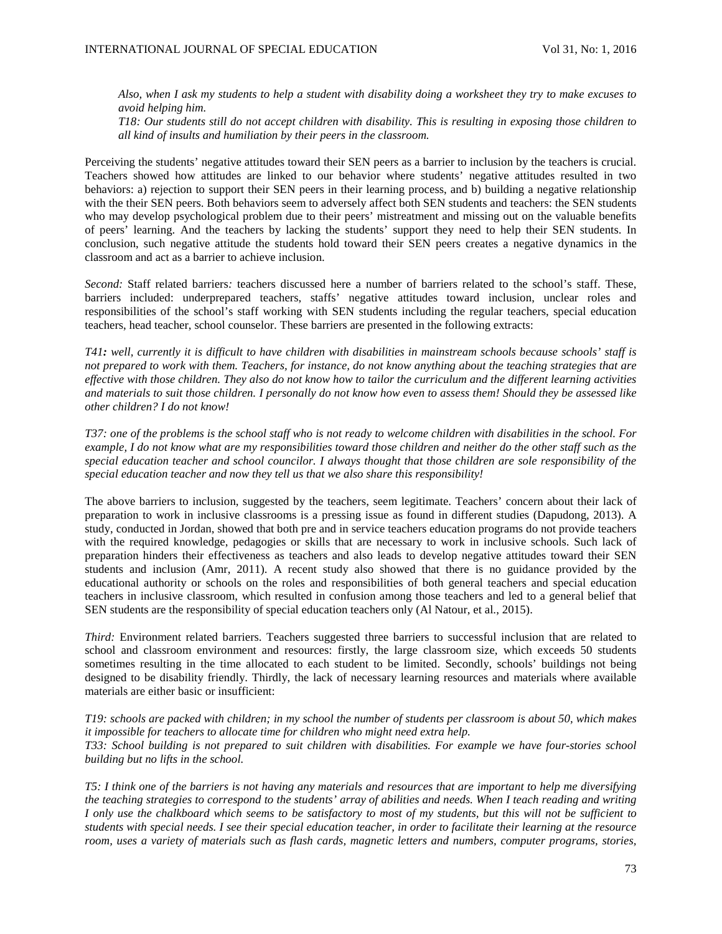*Also, when I ask my students to help a student with disability doing a worksheet they try to make excuses to avoid helping him.*

*T18: Our students still do not accept children with disability. This is resulting in exposing those children to all kind of insults and humiliation by their peers in the classroom.*

Perceiving the students' negative attitudes toward their SEN peers as a barrier to inclusion by the teachers is crucial. Teachers showed how attitudes are linked to our behavior where students' negative attitudes resulted in two behaviors: a) rejection to support their SEN peers in their learning process, and b) building a negative relationship with the their SEN peers. Both behaviors seem to adversely affect both SEN students and teachers: the SEN students who may develop psychological problem due to their peers' mistreatment and missing out on the valuable benefits of peers' learning. And the teachers by lacking the students' support they need to help their SEN students. In conclusion, such negative attitude the students hold toward their SEN peers creates a negative dynamics in the classroom and act as a barrier to achieve inclusion.

*Second:* Staff related barriers*:* teachers discussed here a number of barriers related to the school's staff. These, barriers included: underprepared teachers, staffs' negative attitudes toward inclusion, unclear roles and responsibilities of the school's staff working with SEN students including the regular teachers, special education teachers, head teacher, school counselor. These barriers are presented in the following extracts:

*T41: well, currently it is difficult to have children with disabilities in mainstream schools because schools' staff is not prepared to work with them. Teachers, for instance, do not know anything about the teaching strategies that are effective with those children. They also do not know how to tailor the curriculum and the different learning activities and materials to suit those children. I personally do not know how even to assess them! Should they be assessed like other children? I do not know!*

*T37: one of the problems is the school staff who is not ready to welcome children with disabilities in the school. For example, I do not know what are my responsibilities toward those children and neither do the other staff such as the special education teacher and school councilor. I always thought that those children are sole responsibility of the special education teacher and now they tell us that we also share this responsibility!* 

The above barriers to inclusion, suggested by the teachers, seem legitimate. Teachers' concern about their lack of preparation to work in inclusive classrooms is a pressing issue as found in different studies (Dapudong, 2013). A study, conducted in Jordan, showed that both pre and in service teachers education programs do not provide teachers with the required knowledge, pedagogies or skills that are necessary to work in inclusive schools. Such lack of preparation hinders their effectiveness as teachers and also leads to develop negative attitudes toward their SEN students and inclusion (Amr, 2011). A recent study also showed that there is no guidance provided by the educational authority or schools on the roles and responsibilities of both general teachers and special education teachers in inclusive classroom, which resulted in confusion among those teachers and led to a general belief that SEN students are the responsibility of special education teachers only (Al Natour, et al., 2015).

*Third:* Environment related barriers. Teachers suggested three barriers to successful inclusion that are related to school and classroom environment and resources: firstly, the large classroom size, which exceeds 50 students sometimes resulting in the time allocated to each student to be limited. Secondly, schools' buildings not being designed to be disability friendly. Thirdly, the lack of necessary learning resources and materials where available materials are either basic or insufficient:

*T19: schools are packed with children; in my school the number of students per classroom is about 50, which makes it impossible for teachers to allocate time for children who might need extra help. T33: School building is not prepared to suit children with disabilities. For example we have four-stories school building but no lifts in the school.* 

*T5: I think one of the barriers is not having any materials and resources that are important to help me diversifying the teaching strategies to correspond to the students' array of abilities and needs. When I teach reading and writing I only use the chalkboard which seems to be satisfactory to most of my students, but this will not be sufficient to students with special needs. I see their special education teacher, in order to facilitate their learning at the resource*  room, uses a variety of materials such as flash cards, magnetic letters and numbers, computer programs, stories,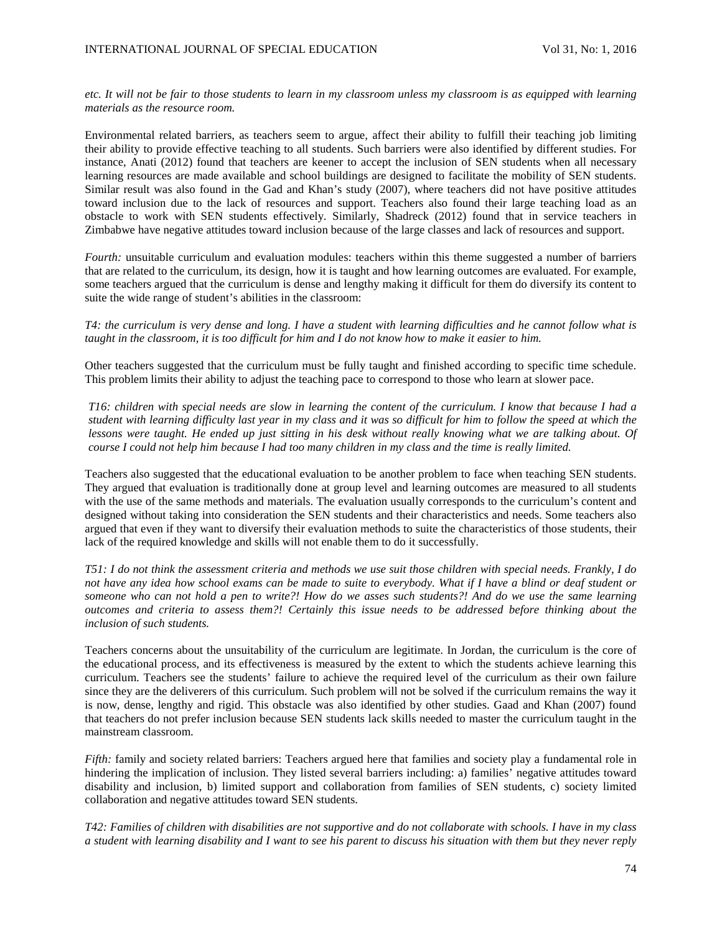# *etc. It will not be fair to those students to learn in my classroom unless my classroom is as equipped with learning materials as the resource room.*

Environmental related barriers, as teachers seem to argue, affect their ability to fulfill their teaching job limiting their ability to provide effective teaching to all students. Such barriers were also identified by different studies. For instance, Anati (2012) found that teachers are keener to accept the inclusion of SEN students when all necessary learning resources are made available and school buildings are designed to facilitate the mobility of SEN students. Similar result was also found in the Gad and Khan's study (2007), where teachers did not have positive attitudes toward inclusion due to the lack of resources and support. Teachers also found their large teaching load as an obstacle to work with SEN students effectively. Similarly, Shadreck (2012) found that in service teachers in Zimbabwe have negative attitudes toward inclusion because of the large classes and lack of resources and support.

*Fourth:* unsuitable curriculum and evaluation modules: teachers within this theme suggested a number of barriers that are related to the curriculum, its design, how it is taught and how learning outcomes are evaluated. For example, some teachers argued that the curriculum is dense and lengthy making it difficult for them do diversify its content to suite the wide range of student's abilities in the classroom:

*T4: the curriculum is very dense and long. I have a student with learning difficulties and he cannot follow what is taught in the classroom, it is too difficult for him and I do not know how to make it easier to him.*

Other teachers suggested that the curriculum must be fully taught and finished according to specific time schedule. This problem limits their ability to adjust the teaching pace to correspond to those who learn at slower pace.

*T16: children with special needs are slow in learning the content of the curriculum. I know that because I had a student with learning difficulty last year in my class and it was so difficult for him to follow the speed at which the lessons were taught. He ended up just sitting in his desk without really knowing what we are talking about. Of course I could not help him because I had too many children in my class and the time is really limited.*

Teachers also suggested that the educational evaluation to be another problem to face when teaching SEN students. They argued that evaluation is traditionally done at group level and learning outcomes are measured to all students with the use of the same methods and materials. The evaluation usually corresponds to the curriculum's content and designed without taking into consideration the SEN students and their characteristics and needs. Some teachers also argued that even if they want to diversify their evaluation methods to suite the characteristics of those students, their lack of the required knowledge and skills will not enable them to do it successfully.

*T51: I do not think the assessment criteria and methods we use suit those children with special needs. Frankly, I do*  not have any idea how school exams can be made to suite to everybody. What if I have a blind or deaf student or *someone who can not hold a pen to write?! How do we asses such students?! And do we use the same learning outcomes and criteria to assess them?! Certainly this issue needs to be addressed before thinking about the inclusion of such students.* 

Teachers concerns about the unsuitability of the curriculum are legitimate. In Jordan, the curriculum is the core of the educational process, and its effectiveness is measured by the extent to which the students achieve learning this curriculum. Teachers see the students' failure to achieve the required level of the curriculum as their own failure since they are the deliverers of this curriculum. Such problem will not be solved if the curriculum remains the way it is now, dense, lengthy and rigid. This obstacle was also identified by other studies. Gaad and Khan (2007) found that teachers do not prefer inclusion because SEN students lack skills needed to master the curriculum taught in the mainstream classroom.

*Fifth:* family and society related barriers: Teachers argued here that families and society play a fundamental role in hindering the implication of inclusion. They listed several barriers including: a) families' negative attitudes toward disability and inclusion, b) limited support and collaboration from families of SEN students, c) society limited collaboration and negative attitudes toward SEN students.

*T42: Families of children with disabilities are not supportive and do not collaborate with schools. I have in my class a student with learning disability and I want to see his parent to discuss his situation with them but they never reply*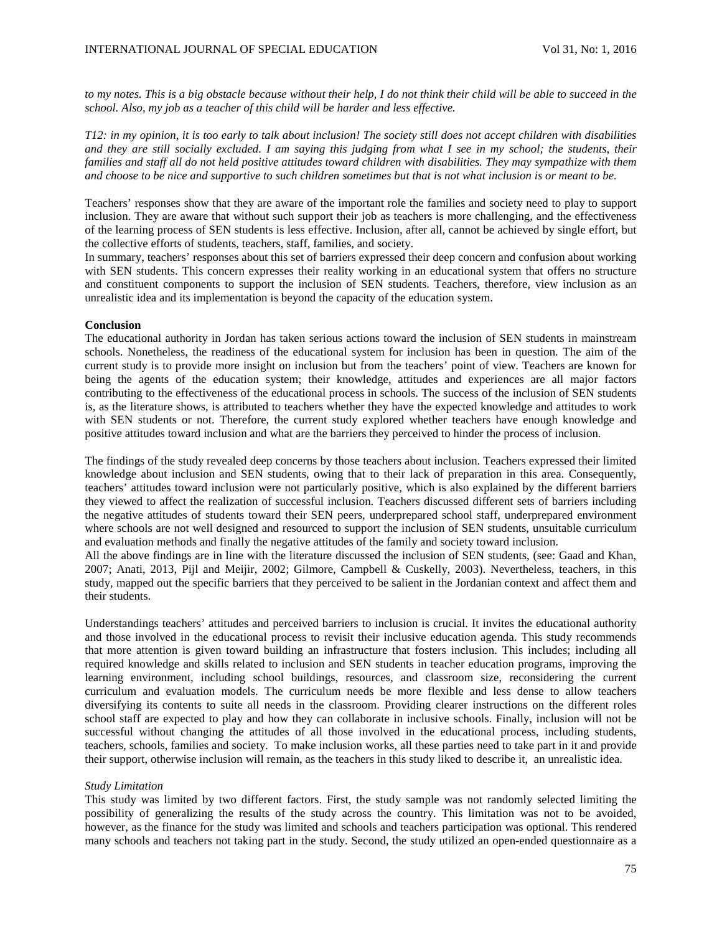*to my notes. This is a big obstacle because without their help, I do not think their child will be able to succeed in the school. Also, my job as a teacher of this child will be harder and less effective.* 

*T12: in my opinion, it is too early to talk about inclusion! The society still does not accept children with disabilities and they are still socially excluded. I am saying this judging from what I see in my school; the students, their*  families and staff all do not held positive attitudes toward children with disabilities. They may sympathize with them *and choose to be nice and supportive to such children sometimes but that is not what inclusion is or meant to be.* 

Teachers' responses show that they are aware of the important role the families and society need to play to support inclusion. They are aware that without such support their job as teachers is more challenging, and the effectiveness of the learning process of SEN students is less effective. Inclusion, after all, cannot be achieved by single effort, but the collective efforts of students, teachers, staff, families, and society.

In summary, teachers' responses about this set of barriers expressed their deep concern and confusion about working with SEN students. This concern expresses their reality working in an educational system that offers no structure and constituent components to support the inclusion of SEN students. Teachers, therefore, view inclusion as an unrealistic idea and its implementation is beyond the capacity of the education system.

#### **Conclusion**

The educational authority in Jordan has taken serious actions toward the inclusion of SEN students in mainstream schools. Nonetheless, the readiness of the educational system for inclusion has been in question. The aim of the current study is to provide more insight on inclusion but from the teachers' point of view. Teachers are known for being the agents of the education system; their knowledge, attitudes and experiences are all major factors contributing to the effectiveness of the educational process in schools. The success of the inclusion of SEN students is, as the literature shows, is attributed to teachers whether they have the expected knowledge and attitudes to work with SEN students or not. Therefore, the current study explored whether teachers have enough knowledge and positive attitudes toward inclusion and what are the barriers they perceived to hinder the process of inclusion.

The findings of the study revealed deep concerns by those teachers about inclusion. Teachers expressed their limited knowledge about inclusion and SEN students, owing that to their lack of preparation in this area. Consequently, teachers' attitudes toward inclusion were not particularly positive, which is also explained by the different barriers they viewed to affect the realization of successful inclusion. Teachers discussed different sets of barriers including the negative attitudes of students toward their SEN peers, underprepared school staff, underprepared environment where schools are not well designed and resourced to support the inclusion of SEN students, unsuitable curriculum and evaluation methods and finally the negative attitudes of the family and society toward inclusion.

All the above findings are in line with the literature discussed the inclusion of SEN students, (see: Gaad and Khan, 2007; Anati, 2013, Pijl and Meijir, 2002; Gilmore, Campbell & Cuskelly, 2003). Nevertheless, teachers, in this study, mapped out the specific barriers that they perceived to be salient in the Jordanian context and affect them and their students.

Understandings teachers' attitudes and perceived barriers to inclusion is crucial. It invites the educational authority and those involved in the educational process to revisit their inclusive education agenda. This study recommends that more attention is given toward building an infrastructure that fosters inclusion. This includes; including all required knowledge and skills related to inclusion and SEN students in teacher education programs, improving the learning environment, including school buildings, resources, and classroom size, reconsidering the current curriculum and evaluation models. The curriculum needs be more flexible and less dense to allow teachers diversifying its contents to suite all needs in the classroom. Providing clearer instructions on the different roles school staff are expected to play and how they can collaborate in inclusive schools. Finally, inclusion will not be successful without changing the attitudes of all those involved in the educational process, including students, teachers, schools, families and society. To make inclusion works, all these parties need to take part in it and provide their support, otherwise inclusion will remain, as the teachers in this study liked to describe it, an unrealistic idea.

### *Study Limitation*

This study was limited by two different factors. First, the study sample was not randomly selected limiting the possibility of generalizing the results of the study across the country. This limitation was not to be avoided, however, as the finance for the study was limited and schools and teachers participation was optional. This rendered many schools and teachers not taking part in the study. Second, the study utilized an open-ended questionnaire as a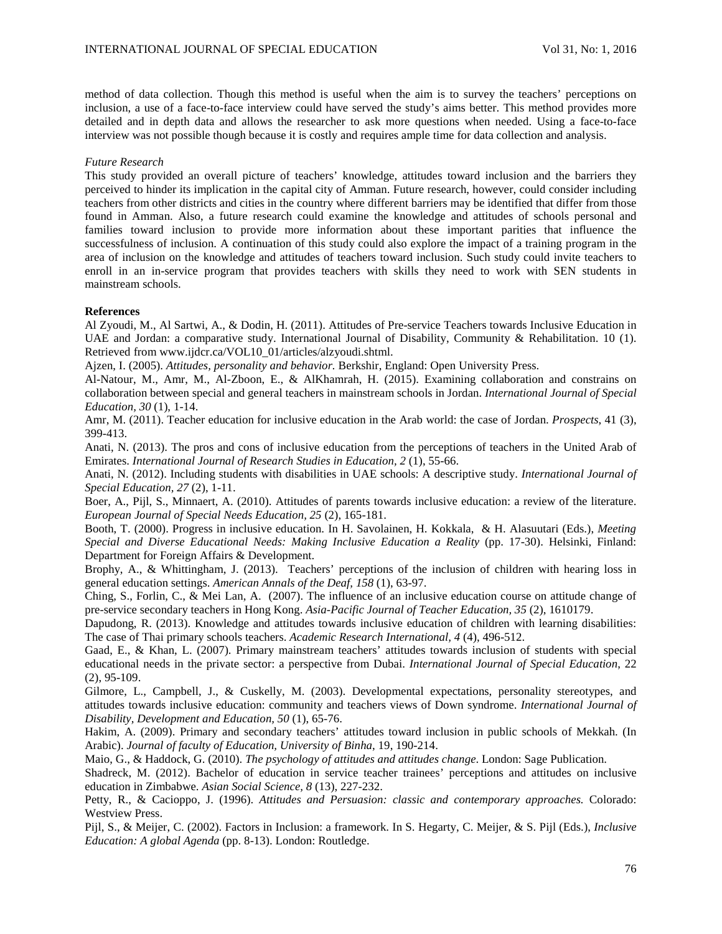method of data collection. Though this method is useful when the aim is to survey the teachers' perceptions on inclusion, a use of a face-to-face interview could have served the study's aims better. This method provides more detailed and in depth data and allows the researcher to ask more questions when needed. Using a face-to-face interview was not possible though because it is costly and requires ample time for data collection and analysis.

## *Future Research*

This study provided an overall picture of teachers' knowledge, attitudes toward inclusion and the barriers they perceived to hinder its implication in the capital city of Amman. Future research, however, could consider including teachers from other districts and cities in the country where different barriers may be identified that differ from those found in Amman. Also, a future research could examine the knowledge and attitudes of schools personal and families toward inclusion to provide more information about these important parities that influence the successfulness of inclusion. A continuation of this study could also explore the impact of a training program in the area of inclusion on the knowledge and attitudes of teachers toward inclusion. Such study could invite teachers to enroll in an in-service program that provides teachers with skills they need to work with SEN students in mainstream schools.

# **References**

Al Zyoudi, M., Al Sartwi, A., & Dodin, H. (2011). Attitudes of Pre-service Teachers towards Inclusive Education in UAE and Jordan: a comparative study. International Journal of Disability, Community & Rehabilitation. 10 (1). Retrieved from www.ijdcr.ca/VOL10\_01/articles/alzyoudi.shtml.

Ajzen, I. (2005). *Attitudes, personality and behavior.* Berkshir, England: Open University Press.

Al-Natour, M., Amr, M., Al-Zboon, E., & AlKhamrah, H. (2015). Examining collaboration and constrains on collaboration between special and general teachers in mainstream schools in Jordan. *International Journal of Special Education, 30* (1), 1-14.

Amr, M. (2011). Teacher education for inclusive education in the Arab world: the case of Jordan. *Prospects*, 41 (3), 399-413.

Anati, N. (2013). The pros and cons of inclusive education from the perceptions of teachers in the United Arab of Emirates. *International Journal of Research Studies in Education, 2* (1), 55-66.

Anati, N. (2012). Including students with disabilities in UAE schools: A descriptive study. *International Journal of Special Education, 27* (2), 1-11.

Boer, A., Pijl, S., Minnaert, A. (2010). Attitudes of parents towards inclusive education: a review of the literature. *European Journal of Special Needs Education, 25* (2), 165-181.

Booth, T. (2000). Progress in inclusive education. In H. Savolainen, H. Kokkala, & H. Alasuutari (Eds.), *Meeting Special and Diverse Educational Needs: Making Inclusive Education a Reality* (pp. 17-30). Helsinki, Finland: Department for Foreign Affairs & Development.

Brophy, A., & Whittingham, J. (2013). Teachers' perceptions of the inclusion of children with hearing loss in general education settings. *American Annals of the Deaf, 158* (1), 63-97.

Ching, S., Forlin, C., & Mei Lan, A. (2007). The influence of an inclusive education course on attitude change of pre-service secondary teachers in Hong Kong. *Asia-Pacific Journal of Teacher Education, 35* (2), 1610179.

Dapudong, R. (2013). Knowledge and attitudes towards inclusive education of children with learning disabilities: The case of Thai primary schools teachers. *Academic Research International, 4* (4), 496-512.

Gaad, E., & Khan, L. (2007). Primary mainstream teachers' attitudes towards inclusion of students with special educational needs in the private sector: a perspective from Dubai. *International Journal of Special Education*, 22 (2), 95-109.

Gilmore, L., Campbell, J., & Cuskelly, M. (2003). Developmental expectations, personality stereotypes, and attitudes towards inclusive education: community and teachers views of Down syndrome. *International Journal of Disability, Development and Education, 50* (1), 65-76.

Hakim, A. (2009). Primary and secondary teachers' attitudes toward inclusion in public schools of Mekkah. (In Arabic). *Journal of faculty of Education, University of Binha*, 19, 190-214.

Maio, G., & Haddock, G. (2010). *The psychology of attitudes and attitudes change*. London: Sage Publication.

Shadreck, M. (2012). Bachelor of education in service teacher trainees' perceptions and attitudes on inclusive education in Zimbabwe. *Asian Social Science, 8* (13), 227-232.

Petty, R., & Cacioppo, J. (1996). *Attitudes and Persuasion: classic and contemporary approaches.* Colorado: Westview Press.

Pijl, S., & Meijer, C. (2002). Factors in Inclusion: a framework. In S. Hegarty, C. Meijer, & S. Pijl (Eds.), *Inclusive Education: A global Agenda* (pp. 8-13). London: Routledge.